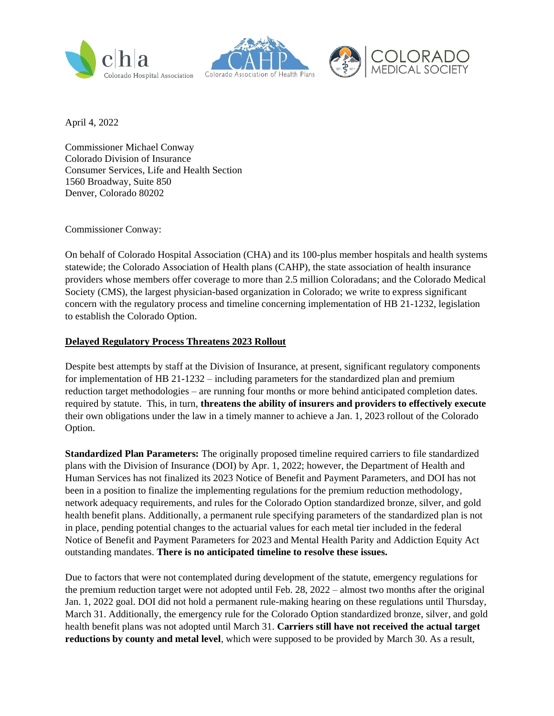





April 4, 2022

Commissioner Michael Conway Colorado Division of Insurance Consumer Services, Life and Health Section 1560 Broadway, Suite 850 Denver, Colorado 80202

Commissioner Conway:

On behalf of Colorado Hospital Association (CHA) and its 100-plus member hospitals and health systems statewide; the Colorado Association of Health plans (CAHP), the state association of health insurance providers whose members offer coverage to more than 2.5 million Coloradans; and the Colorado Medical Society (CMS), the largest physician-based organization in Colorado; we write to express significant concern with the regulatory process and timeline concerning implementation of HB 21-1232, legislation to establish the Colorado Option.

## **Delayed Regulatory Process Threatens 2023 Rollout**

Despite best attempts by staff at the Division of Insurance, at present, significant regulatory components for implementation of HB 21-1232 – including parameters for the standardized plan and premium reduction target methodologies – are running four months or more behind anticipated completion dates. required by statute. This, in turn, **threatens the ability of insurers and providers to effectively execute** their own obligations under the law in a timely manner to achieve a Jan. 1, 2023 rollout of the Colorado Option.

**Standardized Plan Parameters:** The originally proposed timeline required carriers to file standardized plans with the Division of Insurance (DOI) by Apr. 1, 2022; however, the Department of Health and Human Services has not finalized its 2023 Notice of Benefit and Payment Parameters, and DOI has not been in a position to finalize the implementing regulations for the premium reduction methodology, network adequacy requirements, and rules for the Colorado Option standardized bronze, silver, and gold health benefit plans. Additionally, a permanent rule specifying parameters of the standardized plan is not in place, pending potential changes to the actuarial values for each metal tier included in the federal Notice of Benefit and Payment Parameters for 2023 and Mental Health Parity and Addiction Equity Act outstanding mandates. **There is no anticipated timeline to resolve these issues.**

Due to factors that were not contemplated during development of the statute, emergency regulations for the premium reduction target were not adopted until Feb. 28, 2022 – almost two months after the original Jan. 1, 2022 goal. DOI did not hold a permanent rule-making hearing on these regulations until Thursday, March 31. Additionally, the emergency rule for the Colorado Option standardized bronze, silver, and gold health benefit plans was not adopted until March 31. **Carriers still have not received the actual target reductions by county and metal level**, which were supposed to be provided by March 30. As a result,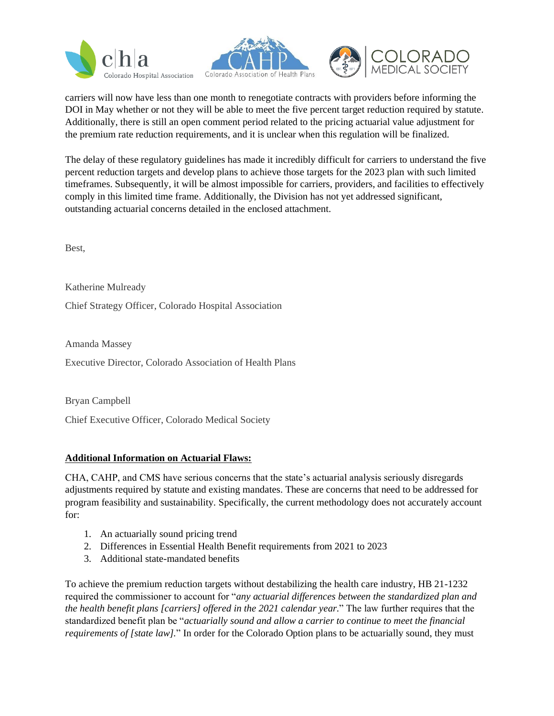





carriers will now have less than one month to renegotiate contracts with providers before informing the DOI in May whether or not they will be able to meet the five percent target reduction required by statute. Additionally, there is still an open comment period related to the pricing actuarial value adjustment for the premium rate reduction requirements, and it is unclear when this regulation will be finalized.

The delay of these regulatory guidelines has made it incredibly difficult for carriers to understand the five percent reduction targets and develop plans to achieve those targets for the 2023 plan with such limited timeframes. Subsequently, it will be almost impossible for carriers, providers, and facilities to effectively comply in this limited time frame. Additionally, the Division has not yet addressed significant, outstanding actuarial concerns detailed in the enclosed attachment.

Best,

Katherine Mulready

Chief Strategy Officer, Colorado Hospital Association

Amanda Massey

Executive Director, Colorado Association of Health Plans

Bryan Campbell

Chief Executive Officer, Colorado Medical Society

## **Additional Information on Actuarial Flaws:**

CHA, CAHP, and CMS have serious concerns that the state's actuarial analysis seriously disregards adjustments required by statute and existing mandates. These are concerns that need to be addressed for program feasibility and sustainability. Specifically, the current methodology does not accurately account for:

- 1. An actuarially sound pricing trend
- 2. Differences in Essential Health Benefit requirements from 2021 to 2023
- 3. Additional state-mandated benefits

To achieve the premium reduction targets without destabilizing the health care industry, HB 21-1232 required the commissioner to account for "*any actuarial differences between the standardized plan and the health benefit plans [carriers] offered in the 2021 calendar year.*" The law further requires that the standardized benefit plan be "*actuarially sound and allow a carrier to continue to meet the financial requirements of [state law].*" In order for the Colorado Option plans to be actuarially sound, they must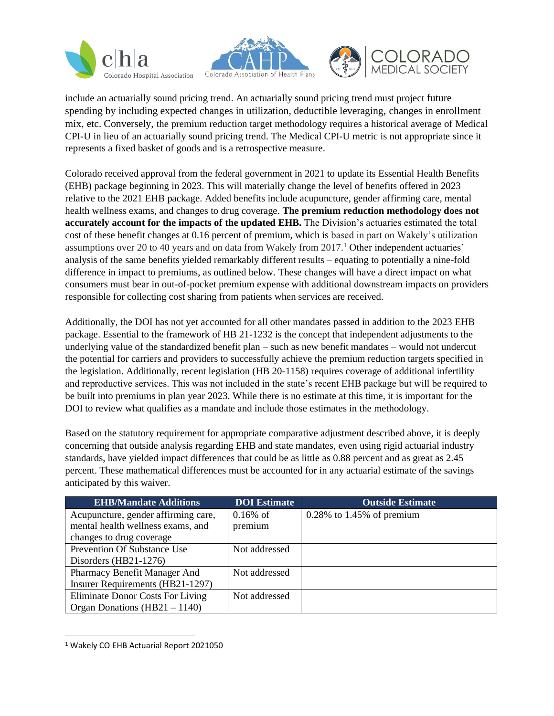





include an actuarially sound pricing trend. An actuarially sound pricing trend must project future spending by including expected changes in utilization, deductible leveraging, changes in enrollment mix, etc. Conversely, the premium reduction target methodology requires a historical average of Medical CPI-U in lieu of an actuarially sound pricing trend. The Medical CPI-U metric is not appropriate since it represents a fixed basket of goods and is a retrospective measure.

Colorado received approval from the federal government in 2021 to update its Essential Health Benefits (EHB) package beginning in 2023. This will materially change the level of benefits offered in 2023 relative to the 2021 EHB package. Added benefits include acupuncture, gender affirming care, mental health wellness exams, and changes to drug coverage. **The premium reduction methodology does not accurately account for the impacts of the updated EHB.** The Division's actuaries estimated the total cost of these benefit changes at 0.16 percent of premium, which is based in part on Wakely's utilization assumptions over 20 to 40 years and on data from Wakely from 2017.<sup>1</sup> Other independent actuaries' analysis of the same benefits yielded remarkably different results – equating to potentially a nine-fold difference in impact to premiums, as outlined below. These changes will have a direct impact on what consumers must bear in out-of-pocket premium expense with additional downstream impacts on providers responsible for collecting cost sharing from patients when services are received.

Additionally, the DOI has not yet accounted for all other mandates passed in addition to the 2023 EHB package. Essential to the framework of HB 21-1232 is the concept that independent adjustments to the underlying value of the standardized benefit plan – such as new benefit mandates – would not undercut the potential for carriers and providers to successfully achieve the premium reduction targets specified in the legislation. Additionally, recent legislation (HB 20-1158) requires coverage of additional infertility and reproductive services. This was not included in the state's recent EHB package but will be required to be built into premiums in plan year 2023. While there is no estimate at this time, it is important for the DOI to review what qualifies as a mandate and include those estimates in the methodology.

Based on the statutory requirement for appropriate comparative adjustment described above, it is deeply concerning that outside analysis regarding EHB and state mandates, even using rigid actuarial industry standards, have yielded impact differences that could be as little as 0.88 percent and as great as 2.45 percent. These mathematical differences must be accounted for in any actuarial estimate of the savings anticipated by this waiver.

| <b>EHB/Mandate Additions</b>        | <b>DOI</b> Estimate | <b>Outside Estimate</b>      |
|-------------------------------------|---------------------|------------------------------|
| Acupuncture, gender affirming care, | $0.16\%$ of         | $0.28\%$ to 1.45% of premium |
| mental health wellness exams, and   | premium             |                              |
| changes to drug coverage            |                     |                              |
| <b>Prevention Of Substance Use</b>  | Not addressed       |                              |
| Disorders $(HB21-1276)$             |                     |                              |
| Pharmacy Benefit Manager And        | Not addressed       |                              |
| Insurer Requirements (HB21-1297)    |                     |                              |
| Eliminate Donor Costs For Living    | Not addressed       |                              |
| Organ Donations $(HB21 - 1140)$     |                     |                              |

<sup>1</sup> Wakely CO EHB Actuarial Report 2021050